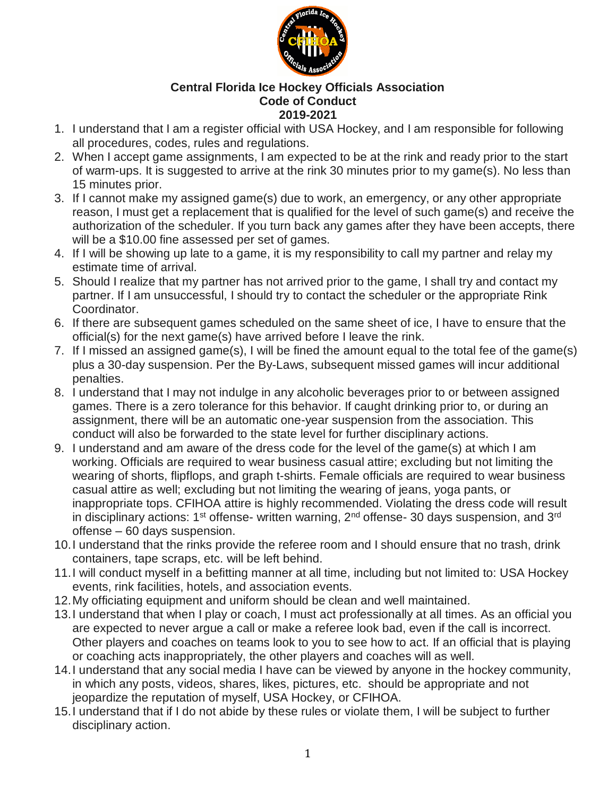

## **Central Florida Ice Hockey Officials Association Code of Conduct 2019-2021**

- 1. I understand that I am a register official with USA Hockey, and I am responsible for following all procedures, codes, rules and regulations.
- 2. When I accept game assignments, I am expected to be at the rink and ready prior to the start of warm-ups. It is suggested to arrive at the rink 30 minutes prior to my game(s). No less than 15 minutes prior.
- 3. If I cannot make my assigned game(s) due to work, an emergency, or any other appropriate reason, I must get a replacement that is qualified for the level of such game(s) and receive the authorization of the scheduler. If you turn back any games after they have been accepts, there will be a \$10.00 fine assessed per set of games.
- 4. If I will be showing up late to a game, it is my responsibility to call my partner and relay my estimate time of arrival.
- 5. Should I realize that my partner has not arrived prior to the game, I shall try and contact my partner. If I am unsuccessful, I should try to contact the scheduler or the appropriate Rink Coordinator.
- 6. If there are subsequent games scheduled on the same sheet of ice, I have to ensure that the official(s) for the next game(s) have arrived before I leave the rink.
- 7. If I missed an assigned game(s), I will be fined the amount equal to the total fee of the game(s) plus a 30-day suspension. Per the By-Laws, subsequent missed games will incur additional penalties.
- 8. I understand that I may not indulge in any alcoholic beverages prior to or between assigned games. There is a zero tolerance for this behavior. If caught drinking prior to, or during an assignment, there will be an automatic one-year suspension from the association. This conduct will also be forwarded to the state level for further disciplinary actions.
- 9. I understand and am aware of the dress code for the level of the game(s) at which I am working. Officials are required to wear business casual attire; excluding but not limiting the wearing of shorts, flipflops, and graph t-shirts. Female officials are required to wear business casual attire as well; excluding but not limiting the wearing of jeans, yoga pants, or inappropriate tops. CFIHOA attire is highly recommended. Violating the dress code will result in disciplinary actions: 1<sup>st</sup> offense- written warning, 2<sup>nd</sup> offense- 30 days suspension, and 3<sup>rd</sup> offense – 60 days suspension.
- 10.I understand that the rinks provide the referee room and I should ensure that no trash, drink containers, tape scraps, etc. will be left behind.
- 11.I will conduct myself in a befitting manner at all time, including but not limited to: USA Hockey events, rink facilities, hotels, and association events.
- 12.My officiating equipment and uniform should be clean and well maintained.
- 13.I understand that when I play or coach, I must act professionally at all times. As an official you are expected to never argue a call or make a referee look bad, even if the call is incorrect. Other players and coaches on teams look to you to see how to act. If an official that is playing or coaching acts inappropriately, the other players and coaches will as well.
- 14.I understand that any social media I have can be viewed by anyone in the hockey community, in which any posts, videos, shares, likes, pictures, etc. should be appropriate and not jeopardize the reputation of myself, USA Hockey, or CFIHOA.
- 15.I understand that if I do not abide by these rules or violate them, I will be subject to further disciplinary action.